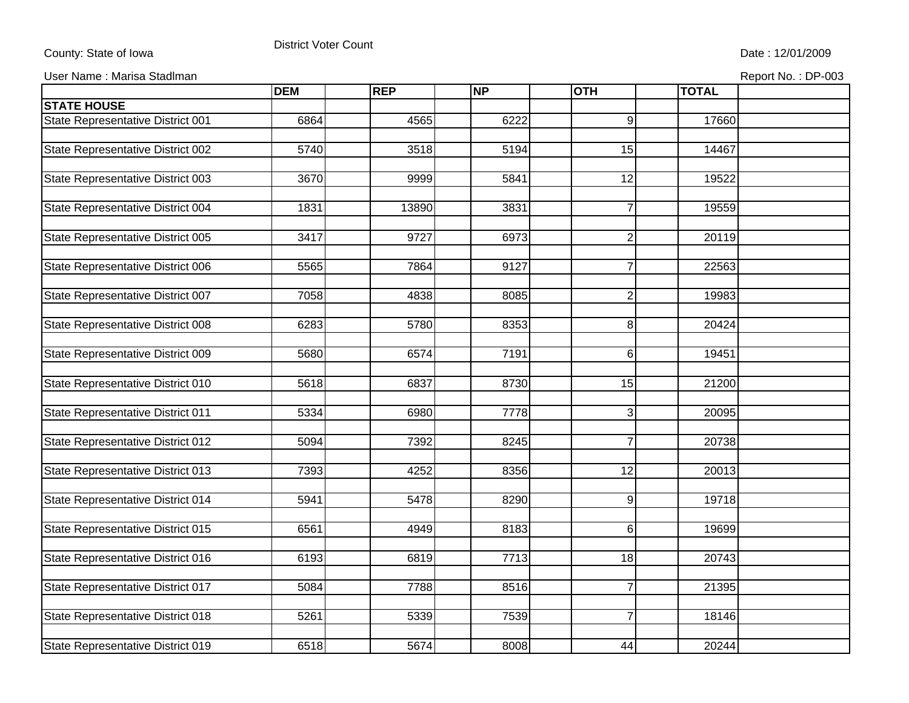## County: State of Iowa **District Voter Count** Description of the Date : 12/01/2009

User Name : Marisa Stadlman Report No. : DP-003

|                                   | <b>DEM</b> | <b>REP</b> | <b>NP</b> | <b>OTH</b>      | <b>TOTAL</b> |  |
|-----------------------------------|------------|------------|-----------|-----------------|--------------|--|
| <b>STATE HOUSE</b>                |            |            |           |                 |              |  |
| State Representative District 001 | 6864       | 4565       | 6222      | 9               | 17660        |  |
|                                   |            |            |           |                 |              |  |
| State Representative District 002 | 5740       | 3518       | 5194      | $\overline{15}$ | 14467        |  |
|                                   |            |            |           |                 |              |  |
| State Representative District 003 | 3670       | 9999       | 5841      | 12              | 19522        |  |
|                                   |            |            |           |                 |              |  |
| State Representative District 004 | 1831       | 13890      | 3831      | $\overline{7}$  | 19559        |  |
| State Representative District 005 | 3417       | 9727       | 6973      | $\overline{2}$  | 20119        |  |
|                                   |            |            |           |                 |              |  |
| State Representative District 006 | 5565       | 7864       | 9127      | $\overline{7}$  | 22563        |  |
|                                   |            |            |           |                 |              |  |
| State Representative District 007 | 7058       | 4838       | 8085      | $\overline{2}$  | 19983        |  |
|                                   |            |            |           |                 |              |  |
| State Representative District 008 | 6283       | 5780       | 8353      | 8               | 20424        |  |
| State Representative District 009 | 5680       | 6574       | 7191      | 6               | 19451        |  |
|                                   |            |            |           |                 |              |  |
| State Representative District 010 | 5618       | 6837       | 8730      | 15              | 21200        |  |
|                                   |            |            |           |                 |              |  |
| State Representative District 011 | 5334       | 6980       | 7778      | 3               | 20095        |  |
|                                   |            |            |           |                 |              |  |
| State Representative District 012 | 5094       | 7392       | 8245      | $\overline{7}$  | 20738        |  |
| State Representative District 013 | 7393       | 4252       | 8356      | 12              | 20013        |  |
|                                   |            |            |           |                 |              |  |
| State Representative District 014 | 5941       | 5478       | 8290      | 9               | 19718        |  |
|                                   |            |            |           |                 |              |  |
| State Representative District 015 | 6561       | 4949       | 8183      | 6               | 19699        |  |
|                                   |            |            |           |                 |              |  |
| State Representative District 016 | 6193       | 6819       | 7713      | 18              | 20743        |  |
|                                   |            |            |           |                 |              |  |
| State Representative District 017 | 5084       | 7788       | 8516      | $\overline{7}$  | 21395        |  |
| State Representative District 018 | 5261       | 5339       | 7539      | $\overline{7}$  | 18146        |  |
|                                   |            |            |           |                 |              |  |
| State Representative District 019 | 6518       | 5674       | 8008      | 44              | 20244        |  |
|                                   |            |            |           |                 |              |  |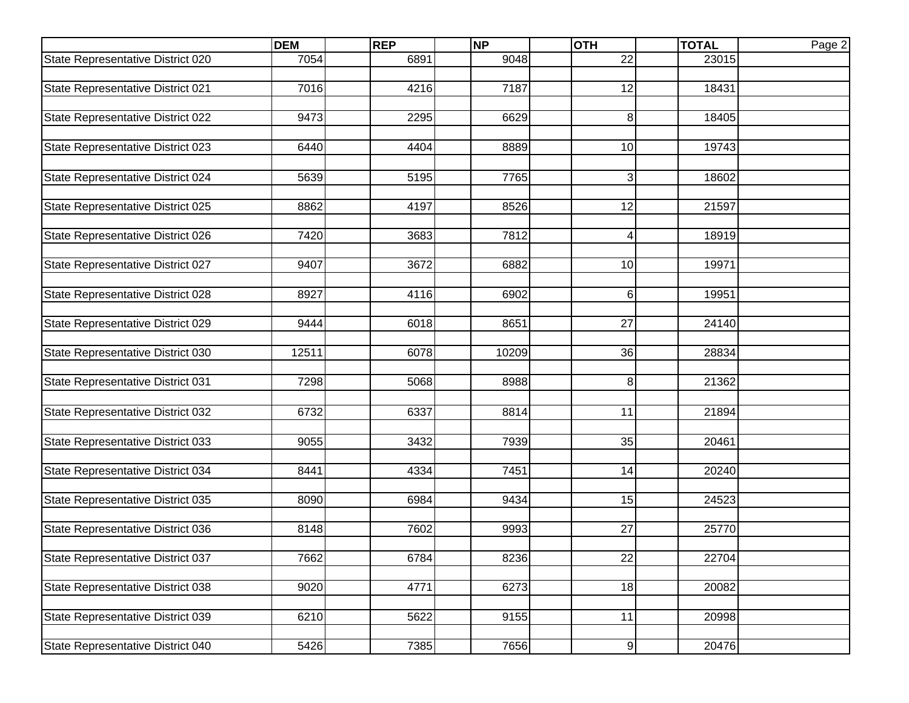|                                   | <b>DEM</b> | <b>REP</b> | <b>NP</b> | <b>OTH</b>      | <b>TOTAL</b> | Page 2 |
|-----------------------------------|------------|------------|-----------|-----------------|--------------|--------|
| State Representative District 020 | 7054       | 6891       | 9048      | 22              | 23015        |        |
|                                   |            |            |           |                 |              |        |
| State Representative District 021 | 7016       | 4216       | 7187      | $\overline{12}$ | 18431        |        |
|                                   |            |            |           |                 |              |        |
| State Representative District 022 | 9473       | 2295       | 6629      | 8               | 18405        |        |
| State Representative District 023 | 6440       | 4404       | 8889      | 10              | 19743        |        |
|                                   |            |            |           |                 |              |        |
| State Representative District 024 | 5639       | 5195       | 7765      | 3               | 18602        |        |
|                                   |            |            |           |                 |              |        |
| State Representative District 025 | 8862       | 4197       | 8526      | 12              | 21597        |        |
|                                   |            |            |           |                 |              |        |
| State Representative District 026 | 7420       | 3683       | 7812      | 4               | 18919        |        |
|                                   |            |            |           |                 |              |        |
| State Representative District 027 | 9407       | 3672       | 6882      | 10              | 19971        |        |
|                                   |            |            |           |                 |              |        |
| State Representative District 028 | 8927       | 4116       | 6902      | 6               | 19951        |        |
| State Representative District 029 | 9444       | 6018       | 8651      | 27              | 24140        |        |
|                                   |            |            |           |                 |              |        |
| State Representative District 030 | 12511      | 6078       | 10209     | 36              | 28834        |        |
|                                   |            |            |           |                 |              |        |
| State Representative District 031 | 7298       | 5068       | 8988      | 8               | 21362        |        |
|                                   |            |            |           |                 |              |        |
| State Representative District 032 | 6732       | 6337       | 8814      | 11              | 21894        |        |
|                                   |            |            |           |                 |              |        |
| State Representative District 033 | 9055       | 3432       | 7939      | 35              | 20461        |        |
|                                   |            |            |           |                 |              |        |
| State Representative District 034 | 8441       | 4334       | 7451      | 14              | 20240        |        |
| State Representative District 035 | 8090       | 6984       | 9434      | 15              | 24523        |        |
|                                   |            |            |           |                 |              |        |
| State Representative District 036 | 8148       | 7602       | 9993      | 27              | 25770        |        |
|                                   |            |            |           |                 |              |        |
| State Representative District 037 | 7662       | 6784       | 8236      | $\overline{22}$ | 22704        |        |
|                                   |            |            |           |                 |              |        |
| State Representative District 038 | 9020       | 4771       | 6273      | 18              | 20082        |        |
|                                   |            |            |           |                 |              |        |
| State Representative District 039 | 6210       | 5622       | 9155      | 11              | 20998        |        |
| State Representative District 040 | 5426       |            | 7656      |                 | 20476        |        |
|                                   |            | 7385       |           | 9               |              |        |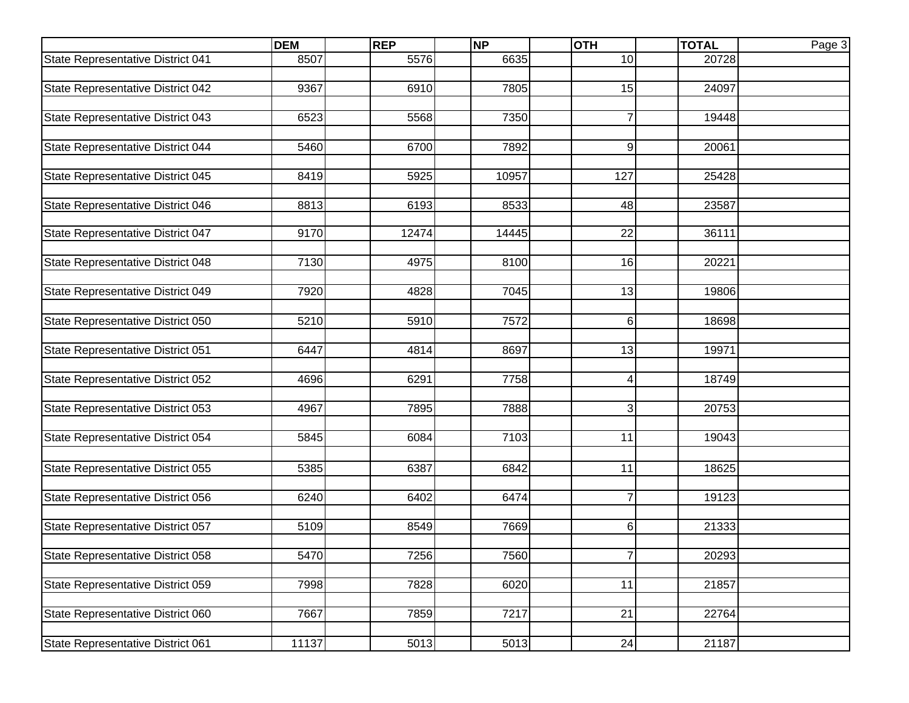|                                   | <b>DEM</b> | <b>REP</b> | <b>NP</b> | <b>OTH</b>      | <b>TOTAL</b> | Page 3 |
|-----------------------------------|------------|------------|-----------|-----------------|--------------|--------|
| State Representative District 041 | 8507       | 5576       | 6635      | 10              | 20728        |        |
|                                   |            |            |           |                 |              |        |
| State Representative District 042 | 9367       | 6910       | 7805      | 15              | 24097        |        |
|                                   |            |            |           |                 |              |        |
| State Representative District 043 | 6523       | 5568       | 7350      | $\overline{7}$  | 19448        |        |
|                                   |            |            |           |                 |              |        |
| State Representative District 044 | 5460       | 6700       | 7892      | 9               | 20061        |        |
|                                   |            |            |           |                 |              |        |
| State Representative District 045 | 8419       | 5925       | 10957     | 127             | 25428        |        |
| State Representative District 046 | 8813       | 6193       | 8533      | 48              | 23587        |        |
|                                   |            |            |           |                 |              |        |
| State Representative District 047 | 9170       | 12474      | 14445     | 22              | 36111        |        |
|                                   |            |            |           |                 |              |        |
| State Representative District 048 | 7130       | 4975       | 8100      | 16              | 20221        |        |
|                                   |            |            |           |                 |              |        |
| State Representative District 049 | 7920       | 4828       | 7045      | $\overline{13}$ | 19806        |        |
|                                   |            |            |           |                 |              |        |
| State Representative District 050 | 5210       | 5910       | 7572      | 6               | 18698        |        |
|                                   |            |            |           |                 |              |        |
| State Representative District 051 | 6447       | 4814       | 8697      | 13              | 19971        |        |
|                                   |            |            |           |                 |              |        |
| State Representative District 052 | 4696       | 6291       | 7758      | 4               | 18749        |        |
|                                   |            |            |           |                 |              |        |
| State Representative District 053 | 4967       | 7895       | 7888      | 3               | 20753        |        |
|                                   | 5845       | 6084       | 7103      | 11              | 19043        |        |
| State Representative District 054 |            |            |           |                 |              |        |
|                                   | 5385       | 6387       | 6842      | 11              | 18625        |        |
| State Representative District 055 |            |            |           |                 |              |        |
| State Representative District 056 | 6240       | 6402       | 6474      | $\overline{7}$  | 19123        |        |
|                                   |            |            |           |                 |              |        |
| State Representative District 057 | 5109       | 8549       | 7669      | 6               | 21333        |        |
|                                   |            |            |           |                 |              |        |
| State Representative District 058 | 5470       | 7256       | 7560      | <sup>'</sup>    | 20293        |        |
|                                   |            |            |           |                 |              |        |
| State Representative District 059 | 7998       | 7828       | 6020      | 11              | 21857        |        |
|                                   |            |            |           |                 |              |        |
| State Representative District 060 | 7667       | 7859       | 7217      | $\overline{21}$ | 22764        |        |
|                                   |            |            |           |                 |              |        |
| State Representative District 061 | 11137      | 5013       | 5013      | 24              | 21187        |        |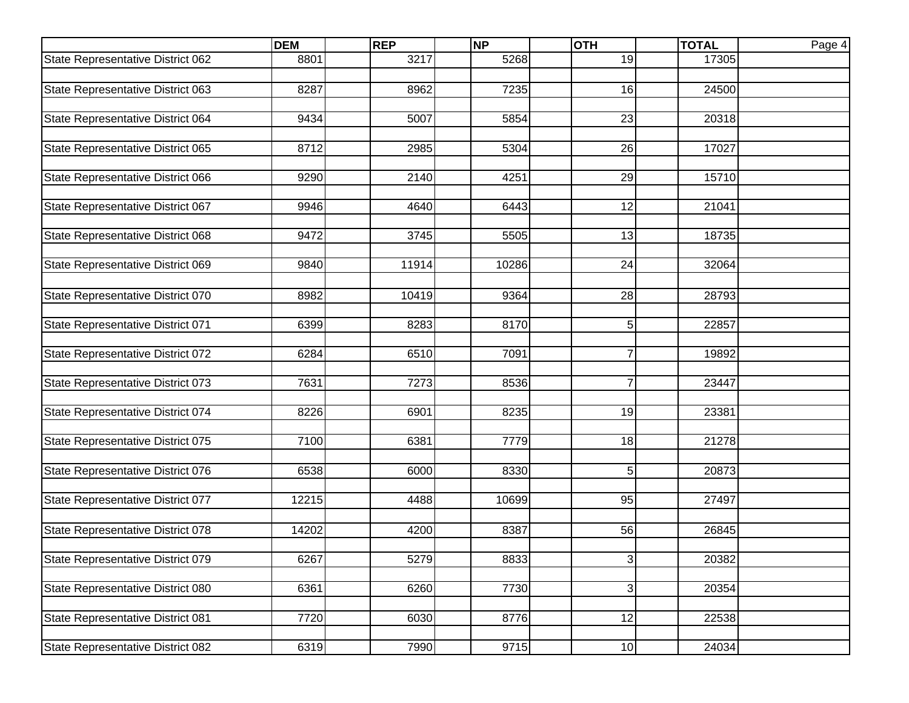|                                   | <b>DEM</b> | <b>REP</b> | <b>NP</b> | <b>OTH</b>     | <b>TOTAL</b> | Page 4 |
|-----------------------------------|------------|------------|-----------|----------------|--------------|--------|
| State Representative District 062 | 8801       | 3217       | 5268      | 19             | 17305        |        |
|                                   |            |            |           |                |              |        |
| State Representative District 063 | 8287       | 8962       | 7235      | 16             | 24500        |        |
|                                   |            |            |           |                |              |        |
| State Representative District 064 | 9434       | 5007       | 5854      | 23             | 20318        |        |
|                                   |            |            |           |                |              |        |
| State Representative District 065 | 8712       | 2985       | 5304      | 26             | 17027        |        |
| State Representative District 066 | 9290       | 2140       | 4251      | 29             | 15710        |        |
|                                   |            |            |           |                |              |        |
| State Representative District 067 | 9946       | 4640       | 6443      | 12             | 21041        |        |
|                                   |            |            |           |                |              |        |
| State Representative District 068 | 9472       | 3745       | 5505      | 13             | 18735        |        |
|                                   |            |            |           |                |              |        |
| State Representative District 069 | 9840       | 11914      | 10286     | 24             | 32064        |        |
|                                   |            |            |           |                |              |        |
| State Representative District 070 | 8982       | 10419      | 9364      | 28             | 28793        |        |
| State Representative District 071 | 6399       | 8283       | 8170      | 5              | 22857        |        |
|                                   |            |            |           |                |              |        |
| State Representative District 072 | 6284       | 6510       | 7091      | $\overline{7}$ | 19892        |        |
|                                   |            |            |           |                |              |        |
| State Representative District 073 | 7631       | 7273       | 8536      | $\overline{7}$ | 23447        |        |
|                                   |            |            |           |                |              |        |
| State Representative District 074 | 8226       | 6901       | 8235      | 19             | 23381        |        |
|                                   |            |            |           |                |              |        |
| State Representative District 075 | 7100       | 6381       | 7779      | 18             | 21278        |        |
| State Representative District 076 | 6538       | 6000       | 8330      | 5              | 20873        |        |
|                                   |            |            |           |                |              |        |
| State Representative District 077 | 12215      | 4488       | 10699     | 95             | 27497        |        |
|                                   |            |            |           |                |              |        |
| State Representative District 078 | 14202      | 4200       | 8387      | 56             | 26845        |        |
|                                   |            |            |           |                |              |        |
| State Representative District 079 | 6267       | 5279       | 8833      | 3              | 20382        |        |
|                                   |            |            |           |                |              |        |
| State Representative District 080 | 6361       | 6260       | 7730      | $\sqrt{3}$     | 20354        |        |
|                                   |            |            |           |                |              |        |
| State Representative District 081 | 7720       | 6030       | 8776      | 12             | 22538        |        |
| State Representative District 082 | 6319       | 7990       | 9715      | 10             | 24034        |        |
|                                   |            |            |           |                |              |        |